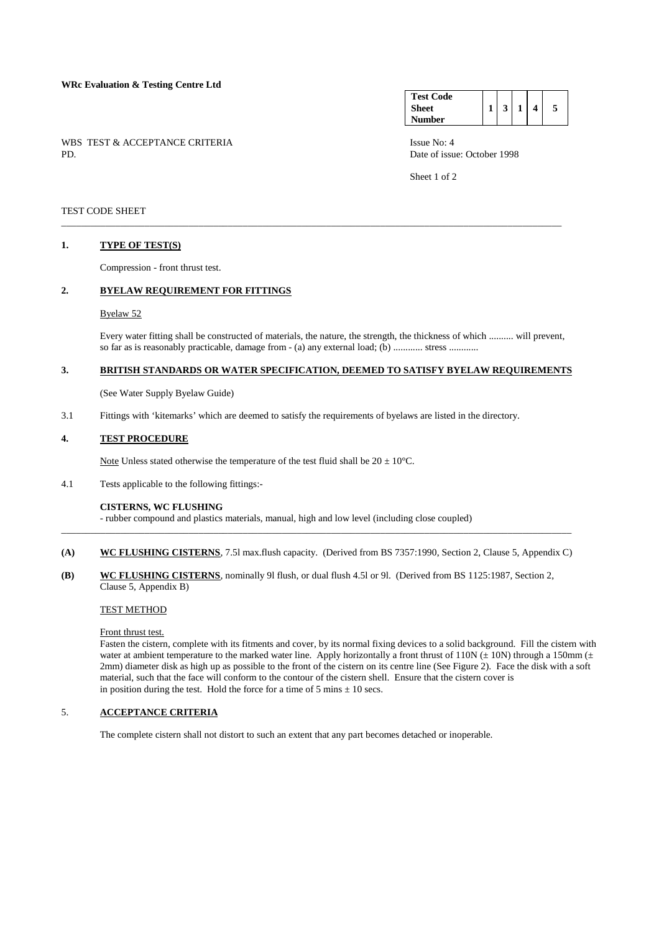# **WRc Evaluation & Testing Centre Ltd**

WBS TEST & ACCEPTANCE CRITERIA ISSUE No: 4<br>PD Date of issue

#### **Test Code Sheet Number**   $1 \mid 3 \mid 1 \mid 4 \mid 5$

Date of issue: October 1998

Sheet 1 of 2

### TEST CODE SHEET

# **1. TYPE OF TEST(S)**

Compression - front thrust test.

# **2. BYELAW REQUIREMENT FOR FITTINGS**

### Byelaw 52

 Every water fitting shall be constructed of materials, the nature, the strength, the thickness of which .......... will prevent, so far as is reasonably practicable, damage from - (a) any external load; (b) ............ stress ............

# **3. BRITISH STANDARDS OR WATER SPECIFICATION, DEEMED TO SATISFY BYELAW REQUIREMENTS**

\_\_\_\_\_\_\_\_\_\_\_\_\_\_\_\_\_\_\_\_\_\_\_\_\_\_\_\_\_\_\_\_\_\_\_\_\_\_\_\_\_\_\_\_\_\_\_\_\_\_\_\_\_\_\_\_\_\_\_\_\_\_\_\_\_\_\_\_\_\_\_\_\_\_\_\_\_\_\_\_\_\_\_\_\_\_\_\_\_\_\_\_\_\_\_\_\_\_\_\_\_\_

(See Water Supply Byelaw Guide)

3.1 Fittings with 'kitemarks' which are deemed to satisfy the requirements of byelaws are listed in the directory.

# **4. TEST PROCEDURE**

Note Unless stated otherwise the temperature of the test fluid shall be  $20 \pm 10^{\circ}$ C.

4.1 Tests applicable to the following fittings:-

### **CISTERNS, WC FLUSHING**

- rubber compound and plastics materials, manual, high and low level (including close coupled)

**(A) WC FLUSHING CISTERNS**, 7.5l max.flush capacity. (Derived from BS 7357:1990, Section 2, Clause 5, Appendix C)

\_\_\_\_\_\_\_\_\_\_\_\_\_\_\_\_\_\_\_\_\_\_\_\_\_\_\_\_\_\_\_\_\_\_\_\_\_\_\_\_\_\_\_\_\_\_\_\_\_\_\_\_\_\_\_\_\_\_\_\_\_\_\_\_\_\_\_\_\_\_\_\_\_\_\_\_\_\_\_\_\_\_\_\_\_\_\_\_\_\_\_\_\_\_\_\_\_\_\_\_\_\_\_\_

**(B) WC FLUSHING CISTERNS**, nominally 9l flush, or dual flush 4.5l or 9l. (Derived from BS 1125:1987, Section 2, Clause 5, Appendix B)

### TEST METHOD

Front thrust test.

 Fasten the cistern, complete with its fitments and cover, by its normal fixing devices to a solid background. Fill the cistern with water at ambient temperature to the marked water line. Apply horizontally a front thrust of 110N ( $\pm$  10N) through a 150mm ( $\pm$ 2mm) diameter disk as high up as possible to the front of the cistern on its centre line (See Figure 2). Face the disk with a soft material, such that the face will conform to the contour of the cistern shell. Ensure that the cistern cover is in position during the test. Hold the force for a time of 5 mins  $\pm$  10 secs.

# 5. **ACCEPTANCE CRITERIA**

The complete cistern shall not distort to such an extent that any part becomes detached or inoperable.